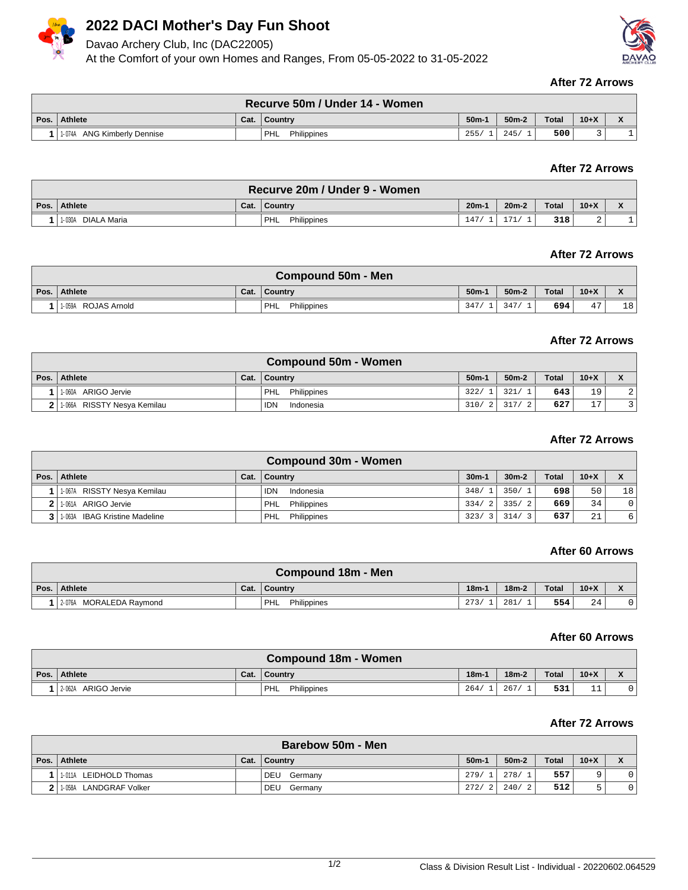

# **2022 DACI Mother's Day Fun Shoot**

Davao Archery Club, Inc (DAC22005)

At the Comfort of your own Homes and Ranges, From 05-05-2022 to 31-05-2022



#### **After 72 Arrows**

|      |                                |      | Recurve 50m / Under 14 - Women |        |         |              |        |  |
|------|--------------------------------|------|--------------------------------|--------|---------|--------------|--------|--|
| Pos. | Athlete                        | Cat. | <b>Country</b>                 | $50m-$ | $50m-2$ | <b>Total</b> | $10+X$ |  |
|      | ANG Kimberly Dennise<br>1-074A |      | <b>PHL</b><br>Philippines      | 255/   | 245/    | 500          |        |  |

## **After 72 Arrows**

|      |                       |      | Recurve 20m / Under 9 - Women |         |               |              |        |   |
|------|-----------------------|------|-------------------------------|---------|---------------|--------------|--------|---|
| Pos. | <b>Athlete</b>        | Cat. | <b>Country</b>                | $20m-1$ | $20m-2$       | <b>Total</b> | $10+X$ |   |
|      | DIALA Maria<br>1-030A |      | <b>PHL</b><br>Philippines     | 147     | $\sim$ $\sim$ | 318          | ▵      | ÷ |

## **After 72 Arrows**

| <b>Compound 50m - Men</b> |      |                           |        |         |              |                     |    |  |  |  |
|---------------------------|------|---------------------------|--------|---------|--------------|---------------------|----|--|--|--|
| Pos. Athlete              | Cat. | Country                   | $50m-$ | $50m-2$ | <b>Total</b> | $10+X$              |    |  |  |  |
| 11-059A ROJAS Arnold      |      | <b>PHL</b><br>Philippines | 347,   | 347     | 694          | $\overline{a}$<br>4 | 18 |  |  |  |

# **After 72 Arrows**

|              |                               |      | <b>Compound 50m - Women</b> |         |           |              |        |                  |
|--------------|-------------------------------|------|-----------------------------|---------|-----------|--------------|--------|------------------|
| Pos. $\vert$ | Athlete                       | Cat. | <b>Country</b>              | $50m-1$ | $50m-2$   | <b>Total</b> | $10+X$ | $\mathbf v$<br>́ |
|              | 11-060A ARIGO Jervie          |      | PHL<br>Philippines          | 322/1   | 321/1     | 643          | 19     | 2 <sup>1</sup>   |
|              | 2 1.066A RISSTY Nesya Kemilau |      | <b>IDN</b><br>Indonesia     | 310/2   | 317/<br>2 | 627          | 17     |                  |

# **After 72 Arrows**

|                                   |      | <b>Compound 30m - Women</b> |        |         |              |        |                |
|-----------------------------------|------|-----------------------------|--------|---------|--------------|--------|----------------|
| Pos. Athlete                      | Cat. | <b>Country</b>              | $30m-$ | $30m-2$ | <b>Total</b> | $10+X$ | X              |
| 11-067A RISSTY Nesya Kemilau      |      | <b>IDN</b><br>Indonesia     | 348/1  | 350/1   | 698          | 50     | 18             |
| 2 1.061A ARIGO Jervie             |      | PHL<br>Philippines          | 334/2  | 335/2   | 669          | 34     | $\overline{0}$ |
| 3 1 1 063A IBAG Kristine Madeline |      | Philippines<br>PHL          | 323/3  | 314/3   | 637          | 21     | 6 <sup>1</sup> |

### **After 60 Arrows**

|                         |      | Compound 18m - Men   |         |         |              |        |  |
|-------------------------|------|----------------------|---------|---------|--------------|--------|--|
| Pos. Athlete            | Cat. | <b>Country</b>       | $18m-1$ | $18m-2$ | <b>Total</b> | $10+X$ |  |
| 2-076A MORALEDA Raymond |      | ' PHL<br>Philippines | 273/    | 281     | 554          | 24     |  |

#### **After 60 Arrows**

|                     |      | <b>Compound 18m - Women</b> |         |         |              |           |                                        |
|---------------------|------|-----------------------------|---------|---------|--------------|-----------|----------------------------------------|
| Pos. Athlete        | Cat. | Country                     | $18m -$ | $18m-2$ | <b>Total</b> | $10+X$    | $\overline{\phantom{a}}$<br>$\sqrt{ }$ |
| 2-062A ARIGO Jervie |      | <b>PHL</b><br>Philippines   | 264/    | 267/    | 531          | - -<br>ᅩᅩ |                                        |

#### **After 72 Arrows**

|      | Barebow 50m - Men       |      |                       |                   |         |              |        |   |  |  |  |
|------|-------------------------|------|-----------------------|-------------------|---------|--------------|--------|---|--|--|--|
| Pos. | Athlete                 | Cat. | Country               | 50 <sub>m</sub> - | $50m-2$ | <b>Total</b> | $10+X$ |   |  |  |  |
|      | 1-011A LEIDHOLD Thomas  |      | <b>DEU</b><br>Germany | 279/              | 278/    | 557          | a      |   |  |  |  |
|      | 11-058A LANDGRAF Volker |      | <b>DEU</b><br>Germany | 272/              | 240/    | 512          | ь.     | 0 |  |  |  |